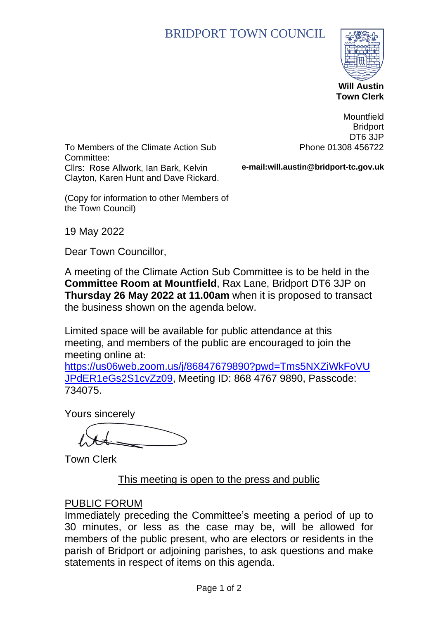# BRIDPORT TOWN COUNCIL



 **Town Clerk**

To Members of the Climate Action Sub Committee: Cllrs: Rose Allwork, Ian Bark, Kelvin Clayton, Karen Hunt and Dave Rickard.

**Mountfield Bridport** DT6 3JP Phone 01308 456722

**e-mail:will.austin@bridport-tc.gov.uk**

(Copy for information to other Members of the Town Council)

19 May 2022

Dear Town Councillor,

A meeting of the Climate Action Sub Committee is to be held in the **Committee Room at Mountfield**, Rax Lane, Bridport DT6 3JP on **Thursday 26 May 2022 at 11.00am** when it is proposed to transact the business shown on the agenda below.

Limited space will be available for public attendance at this meeting, and members of the public are encouraged to join the meeting online at:

[https://us06web.zoom.us/j/86847679890?pwd=Tms5NXZiWkFoVU](https://us06web.zoom.us/j/86847679890?pwd=Tms5NXZiWkFoVUJPdER1eGs2S1cvZz09) [JPdER1eGs2S1cvZz09,](https://us06web.zoom.us/j/86847679890?pwd=Tms5NXZiWkFoVUJPdER1eGs2S1cvZz09) Meeting ID: 868 4767 9890, Passcode: 734075.

Yours sincerely

Town Clerk

#### This meeting is open to the press and public

#### PUBLIC FORUM

Immediately preceding the Committee's meeting a period of up to 30 minutes, or less as the case may be, will be allowed for members of the public present, who are electors or residents in the parish of Bridport or adjoining parishes, to ask questions and make statements in respect of items on this agenda.